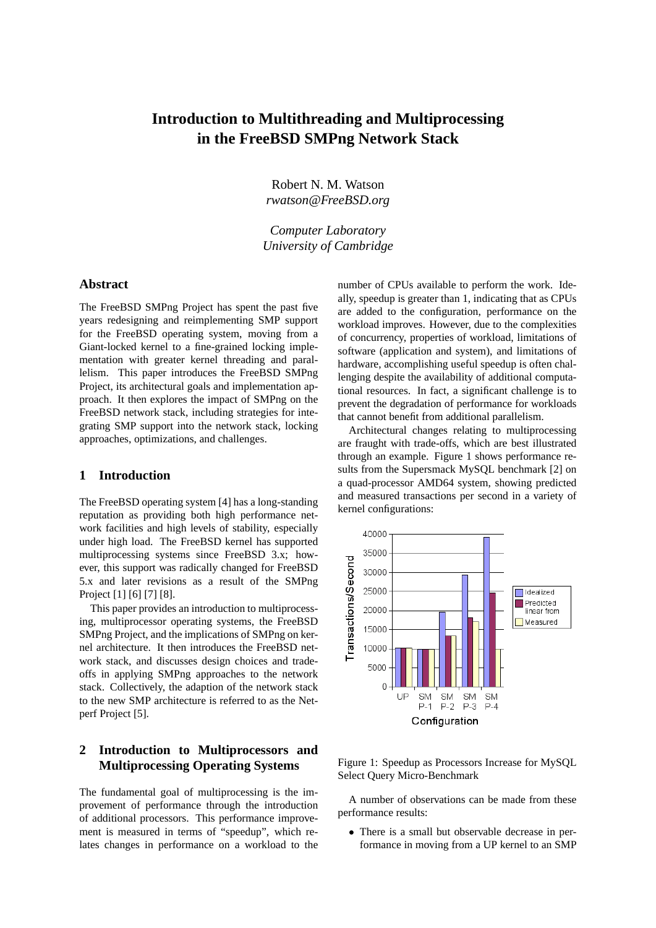# **Introduction to Multithreading and Multiprocessing in the FreeBSD SMPng Network Stack**

Robert N. M. Watson *rwatson@FreeBSD.org*

*Computer Laboratory University of Cambridge*

#### **Abstract**

The FreeBSD SMPng Project has spent the past five years redesigning and reimplementing SMP support for the FreeBSD operating system, moving from a Giant-locked kernel to a fine-grained locking implementation with greater kernel threading and parallelism. This paper introduces the FreeBSD SMPng Project, its architectural goals and implementation approach. It then explores the impact of SMPng on the FreeBSD network stack, including strategies for integrating SMP support into the network stack, locking approaches, optimizations, and challenges.

#### **1 Introduction**

The FreeBSD operating system [4] has a long-standing reputation as providing both high performance network facilities and high levels of stability, especially under high load. The FreeBSD kernel has supported multiprocessing systems since FreeBSD 3.x; however, this support was radically changed for FreeBSD 5.x and later revisions as a result of the SMPng Project [1] [6] [7] [8].

This paper provides an introduction to multiprocessing, multiprocessor operating systems, the FreeBSD SMPng Project, and the implications of SMPng on kernel architecture. It then introduces the FreeBSD network stack, and discusses design choices and tradeoffs in applying SMPng approaches to the network stack. Collectively, the adaption of the network stack to the new SMP architecture is referred to as the Netperf Project [5].

# **2 Introduction to Multiprocessors and Multiprocessing Operating Systems**

The fundamental goal of multiprocessing is the improvement of performance through the introduction of additional processors. This performance improvement is measured in terms of "speedup", which relates changes in performance on a workload to the

number of CPUs available to perform the work. Ideally, speedup is greater than 1, indicating that as CPUs are added to the configuration, performance on the workload improves. However, due to the complexities of concurrency, properties of workload, limitations of software (application and system), and limitations of hardware, accomplishing useful speedup is often challenging despite the availability of additional computational resources. In fact, a significant challenge is to prevent the degradation of performance for workloads that cannot benefit from additional parallelism.

Architectural changes relating to multiprocessing are fraught with trade-offs, which are best illustrated through an example. Figure 1 shows performance results from the Supersmack MySQL benchmark [2] on a quad-processor AMD64 system, showing predicted and measured transactions per second in a variety of kernel configurations:



Figure 1: Speedup as Processors Increase for MySQL Select Query Micro-Benchmark

A number of observations can be made from these performance results:

• There is a small but observable decrease in performance in moving from a UP kernel to an SMP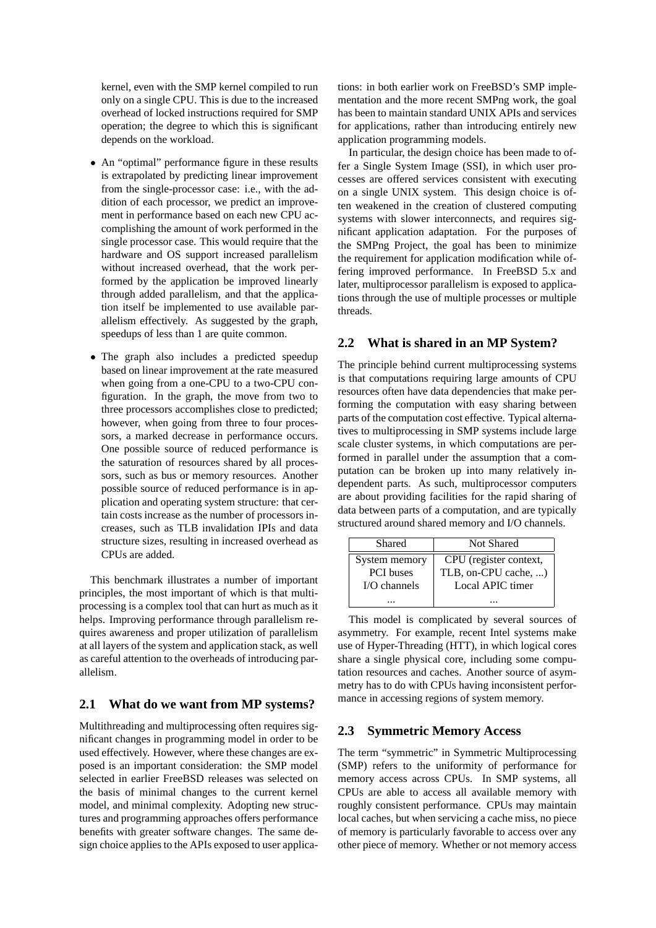kernel, even with the SMP kernel compiled to run only on a single CPU. This is due to the increased overhead of locked instructions required for SMP operation; the degree to which this is significant depends on the workload.

- An "optimal" performance figure in these results is extrapolated by predicting linear improvement from the single-processor case: i.e., with the addition of each processor, we predict an improvement in performance based on each new CPU accomplishing the amount of work performed in the single processor case. This would require that the hardware and OS support increased parallelism without increased overhead, that the work performed by the application be improved linearly through added parallelism, and that the application itself be implemented to use available parallelism effectively. As suggested by the graph, speedups of less than 1 are quite common.
- The graph also includes a predicted speedup based on linear improvement at the rate measured when going from a one-CPU to a two-CPU configuration. In the graph, the move from two to three processors accomplishes close to predicted; however, when going from three to four processors, a marked decrease in performance occurs. One possible source of reduced performance is the saturation of resources shared by all processors, such as bus or memory resources. Another possible source of reduced performance is in application and operating system structure: that certain costs increase as the number of processors increases, such as TLB invalidation IPIs and data structure sizes, resulting in increased overhead as CPUs are added.

This benchmark illustrates a number of important principles, the most important of which is that multiprocessing is a complex tool that can hurt as much as it helps. Improving performance through parallelism requires awareness and proper utilization of parallelism at all layers of the system and application stack, as well as careful attention to the overheads of introducing parallelism.

#### **2.1 What do we want from MP systems?**

Multithreading and multiprocessing often requires significant changes in programming model in order to be used effectively. However, where these changes are exposed is an important consideration: the SMP model selected in earlier FreeBSD releases was selected on the basis of minimal changes to the current kernel model, and minimal complexity. Adopting new structures and programming approaches offers performance benefits with greater software changes. The same design choice applies to the APIs exposed to user applica-

tions: in both earlier work on FreeBSD's SMP implementation and the more recent SMPng work, the goal has been to maintain standard UNIX APIs and services for applications, rather than introducing entirely new application programming models.

In particular, the design choice has been made to offer a Single System Image (SSI), in which user processes are offered services consistent with executing on a single UNIX system. This design choice is often weakened in the creation of clustered computing systems with slower interconnects, and requires significant application adaptation. For the purposes of the SMPng Project, the goal has been to minimize the requirement for application modification while offering improved performance. In FreeBSD 5.x and later, multiprocessor parallelism is exposed to applications through the use of multiple processes or multiple threads.

#### **2.2 What is shared in an MP System?**

The principle behind current multiprocessing systems is that computations requiring large amounts of CPU resources often have data dependencies that make performing the computation with easy sharing between parts of the computation cost effective. Typical alternatives to multiprocessing in SMP systems include large scale cluster systems, in which computations are performed in parallel under the assumption that a computation can be broken up into many relatively independent parts. As such, multiprocessor computers are about providing facilities for the rapid sharing of data between parts of a computation, and are typically structured around shared memory and I/O channels.

| Shared           | Not Shared             |
|------------------|------------------------|
| System memory    | CPU (register context, |
| <b>PCI</b> buses | TLB, on-CPU cache, )   |
| $I/O$ channels   | Local APIC timer       |
|                  |                        |

This model is complicated by several sources of asymmetry. For example, recent Intel systems make use of Hyper-Threading (HTT), in which logical cores share a single physical core, including some computation resources and caches. Another source of asymmetry has to do with CPUs having inconsistent performance in accessing regions of system memory.

#### **2.3 Symmetric Memory Access**

The term "symmetric" in Symmetric Multiprocessing (SMP) refers to the uniformity of performance for memory access across CPUs. In SMP systems, all CPUs are able to access all available memory with roughly consistent performance. CPUs may maintain local caches, but when servicing a cache miss, no piece of memory is particularly favorable to access over any other piece of memory. Whether or not memory access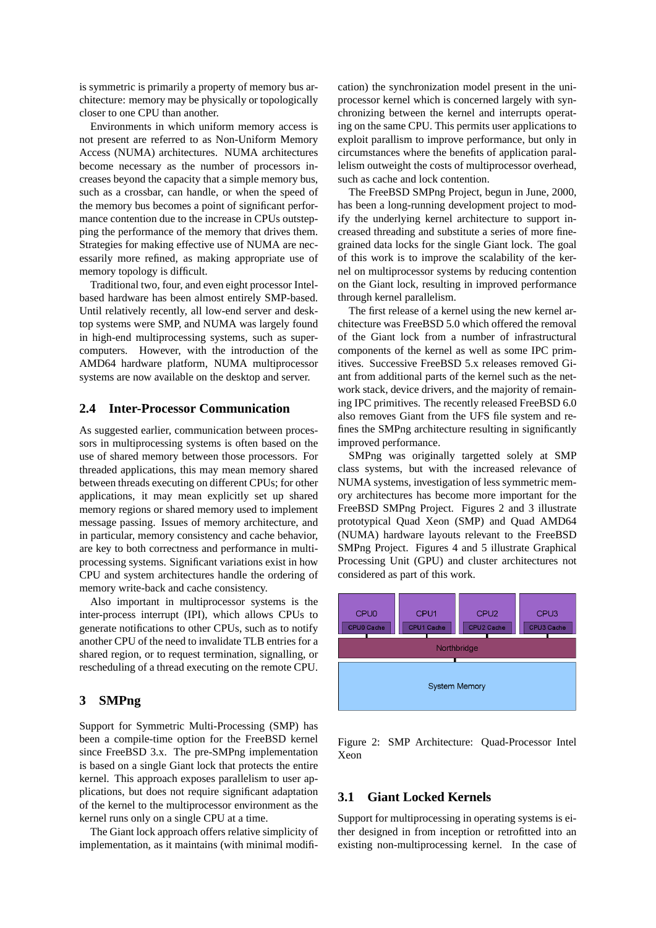is symmetric is primarily a property of memory bus architecture: memory may be physically or topologically closer to one CPU than another.

Environments in which uniform memory access is not present are referred to as Non-Uniform Memory Access (NUMA) architectures. NUMA architectures become necessary as the number of processors increases beyond the capacity that a simple memory bus, such as a crossbar, can handle, or when the speed of the memory bus becomes a point of significant performance contention due to the increase in CPUs outstepping the performance of the memory that drives them. Strategies for making effective use of NUMA are necessarily more refined, as making appropriate use of memory topology is difficult.

Traditional two, four, and even eight processor Intelbased hardware has been almost entirely SMP-based. Until relatively recently, all low-end server and desktop systems were SMP, and NUMA was largely found in high-end multiprocessing systems, such as supercomputers. However, with the introduction of the AMD64 hardware platform, NUMA multiprocessor systems are now available on the desktop and server.

#### **2.4 Inter-Processor Communication**

As suggested earlier, communication between processors in multiprocessing systems is often based on the use of shared memory between those processors. For threaded applications, this may mean memory shared between threads executing on different CPUs; for other applications, it may mean explicitly set up shared memory regions or shared memory used to implement message passing. Issues of memory architecture, and in particular, memory consistency and cache behavior, are key to both correctness and performance in multiprocessing systems. Significant variations exist in how CPU and system architectures handle the ordering of memory write-back and cache consistency.

Also important in multiprocessor systems is the inter-process interrupt (IPI), which allows CPUs to generate notifications to other CPUs, such as to notify another CPU of the need to invalidate TLB entries for a shared region, or to request termination, signalling, or rescheduling of a thread executing on the remote CPU.

#### **3 SMPng**

Support for Symmetric Multi-Processing (SMP) has been a compile-time option for the FreeBSD kernel since FreeBSD 3.x. The pre-SMPng implementation is based on a single Giant lock that protects the entire kernel. This approach exposes parallelism to user applications, but does not require significant adaptation of the kernel to the multiprocessor environment as the kernel runs only on a single CPU at a time.

The Giant lock approach offers relative simplicity of implementation, as it maintains (with minimal modification) the synchronization model present in the uniprocessor kernel which is concerned largely with synchronizing between the kernel and interrupts operating on the same CPU. This permits user applications to exploit parallism to improve performance, but only in circumstances where the benefits of application parallelism outweight the costs of multiprocessor overhead, such as cache and lock contention.

The FreeBSD SMPng Project, begun in June, 2000, has been a long-running development project to modify the underlying kernel architecture to support increased threading and substitute a series of more finegrained data locks for the single Giant lock. The goal of this work is to improve the scalability of the kernel on multiprocessor systems by reducing contention on the Giant lock, resulting in improved performance through kernel parallelism.

The first release of a kernel using the new kernel architecture was FreeBSD 5.0 which offered the removal of the Giant lock from a number of infrastructural components of the kernel as well as some IPC primitives. Successive FreeBSD 5.x releases removed Giant from additional parts of the kernel such as the network stack, device drivers, and the majority of remaining IPC primitives. The recently released FreeBSD 6.0 also removes Giant from the UFS file system and refines the SMPng architecture resulting in significantly improved performance.

SMPng was originally targetted solely at SMP class systems, but with the increased relevance of NUMA systems, investigation of less symmetric memory architectures has become more important for the FreeBSD SMPng Project. Figures 2 and 3 illustrate prototypical Quad Xeon (SMP) and Quad AMD64 (NUMA) hardware layouts relevant to the FreeBSD SMPng Project. Figures 4 and 5 illustrate Graphical Processing Unit (GPU) and cluster architectures not considered as part of this work.



Figure 2: SMP Architecture: Quad-Processor Intel Xeon

#### **3.1 Giant Locked Kernels**

Support for multiprocessing in operating systems is either designed in from inception or retrofitted into an existing non-multiprocessing kernel. In the case of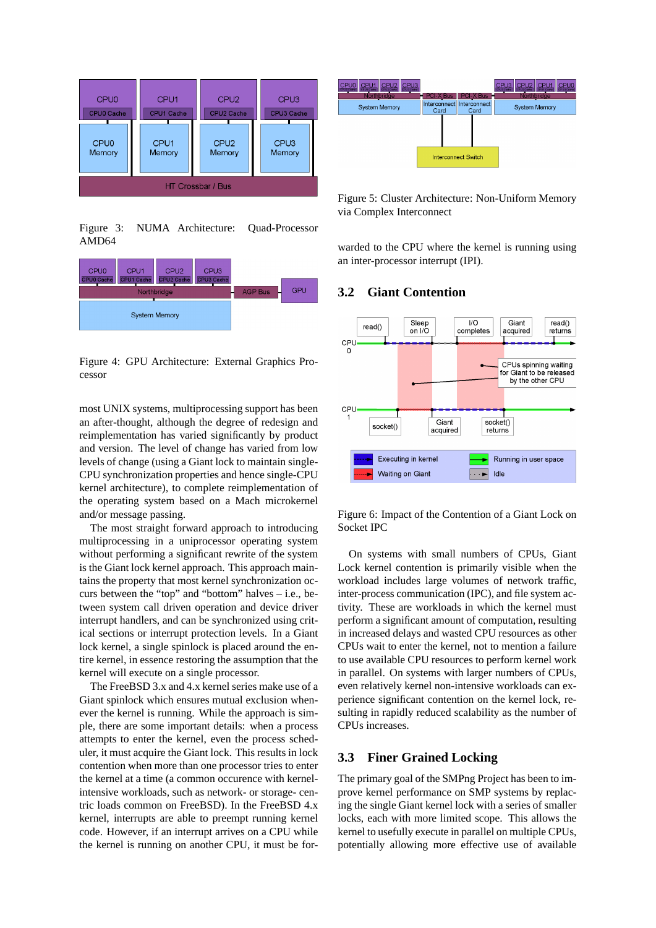

Figure 3: NUMA Architecture: Quad-Processor AMD64



Figure 4: GPU Architecture: External Graphics Processor

most UNIX systems, multiprocessing support has been an after-thought, although the degree of redesign and reimplementation has varied significantly by product and version. The level of change has varied from low levels of change (using a Giant lock to maintain single-CPU synchronization properties and hence single-CPU kernel architecture), to complete reimplementation of the operating system based on a Mach microkernel and/or message passing.

The most straight forward approach to introducing multiprocessing in a uniprocessor operating system without performing a significant rewrite of the system is the Giant lock kernel approach. This approach maintains the property that most kernel synchronization occurs between the "top" and "bottom" halves – i.e., between system call driven operation and device driver interrupt handlers, and can be synchronized using critical sections or interrupt protection levels. In a Giant lock kernel, a single spinlock is placed around the entire kernel, in essence restoring the assumption that the kernel will execute on a single processor.

The FreeBSD 3.x and 4.x kernel series make use of a Giant spinlock which ensures mutual exclusion whenever the kernel is running. While the approach is simple, there are some important details: when a process attempts to enter the kernel, even the process scheduler, it must acquire the Giant lock. This results in lock contention when more than one processor tries to enter the kernel at a time (a common occurence with kernelintensive workloads, such as network- or storage- centric loads common on FreeBSD). In the FreeBSD 4.x kernel, interrupts are able to preempt running kernel code. However, if an interrupt arrives on a CPU while the kernel is running on another CPU, it must be for-



Figure 5: Cluster Architecture: Non-Uniform Memory via Complex Interconnect

warded to the CPU where the kernel is running using an inter-processor interrupt (IPI).

#### **3.2 Giant Contention**



Figure 6: Impact of the Contention of a Giant Lock on Socket IPC

On systems with small numbers of CPUs, Giant Lock kernel contention is primarily visible when the workload includes large volumes of network traffic, inter-process communication (IPC), and file system activity. These are workloads in which the kernel must perform a significant amount of computation, resulting in increased delays and wasted CPU resources as other CPUs wait to enter the kernel, not to mention a failure to use available CPU resources to perform kernel work in parallel. On systems with larger numbers of CPUs, even relatively kernel non-intensive workloads can experience significant contention on the kernel lock, resulting in rapidly reduced scalability as the number of CPUs increases.

#### **3.3 Finer Grained Locking**

The primary goal of the SMPng Project has been to improve kernel performance on SMP systems by replacing the single Giant kernel lock with a series of smaller locks, each with more limited scope. This allows the kernel to usefully execute in parallel on multiple CPUs, potentially allowing more effective use of available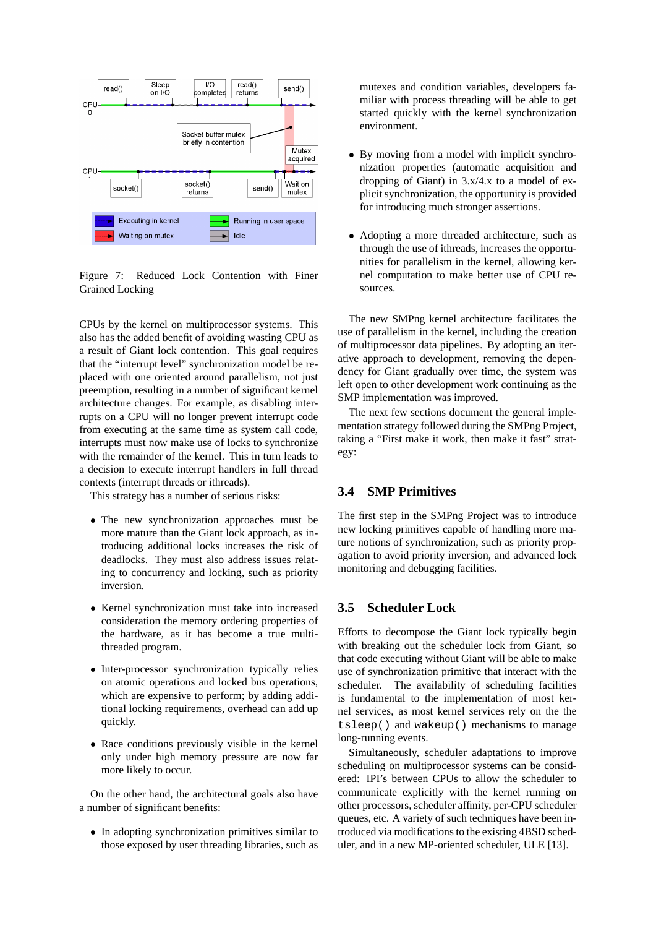

Figure 7: Reduced Lock Contention with Finer Grained Locking

CPUs by the kernel on multiprocessor systems. This also has the added benefit of avoiding wasting CPU as a result of Giant lock contention. This goal requires that the "interrupt level" synchronization model be replaced with one oriented around parallelism, not just preemption, resulting in a number of significant kernel architecture changes. For example, as disabling interrupts on a CPU will no longer prevent interrupt code from executing at the same time as system call code, interrupts must now make use of locks to synchronize with the remainder of the kernel. This in turn leads to a decision to execute interrupt handlers in full thread contexts (interrupt threads or ithreads).

This strategy has a number of serious risks:

- The new synchronization approaches must be more mature than the Giant lock approach, as introducing additional locks increases the risk of deadlocks. They must also address issues relating to concurrency and locking, such as priority inversion.
- Kernel synchronization must take into increased consideration the memory ordering properties of the hardware, as it has become a true multithreaded program.
- Inter-processor synchronization typically relies on atomic operations and locked bus operations, which are expensive to perform; by adding additional locking requirements, overhead can add up quickly.
- Race conditions previously visible in the kernel only under high memory pressure are now far more likely to occur.

On the other hand, the architectural goals also have a number of significant benefits:

• In adopting synchronization primitives similar to those exposed by user threading libraries, such as mutexes and condition variables, developers familiar with process threading will be able to get started quickly with the kernel synchronization environment.

- By moving from a model with implicit synchronization properties (automatic acquisition and dropping of Giant) in 3.x/4.x to a model of explicit synchronization, the opportunity is provided for introducing much stronger assertions.
- Adopting a more threaded architecture, such as through the use of ithreads, increases the opportunities for parallelism in the kernel, allowing kernel computation to make better use of CPU resources.

The new SMPng kernel architecture facilitates the use of parallelism in the kernel, including the creation of multiprocessor data pipelines. By adopting an iterative approach to development, removing the dependency for Giant gradually over time, the system was left open to other development work continuing as the SMP implementation was improved.

The next few sections document the general implementation strategy followed during the SMPng Project, taking a "First make it work, then make it fast" strategy:

#### **3.4 SMP Primitives**

The first step in the SMPng Project was to introduce new locking primitives capable of handling more mature notions of synchronization, such as priority propagation to avoid priority inversion, and advanced lock monitoring and debugging facilities.

## **3.5 Scheduler Lock**

Efforts to decompose the Giant lock typically begin with breaking out the scheduler lock from Giant, so that code executing without Giant will be able to make use of synchronization primitive that interact with the scheduler. The availability of scheduling facilities is fundamental to the implementation of most kernel services, as most kernel services rely on the the tsleep() and wakeup() mechanisms to manage long-running events.

Simultaneously, scheduler adaptations to improve scheduling on multiprocessor systems can be considered: IPI's between CPUs to allow the scheduler to communicate explicitly with the kernel running on other processors, scheduler affinity, per-CPU scheduler queues, etc. A variety of such techniques have been introduced via modifications to the existing 4BSD scheduler, and in a new MP-oriented scheduler, ULE [13].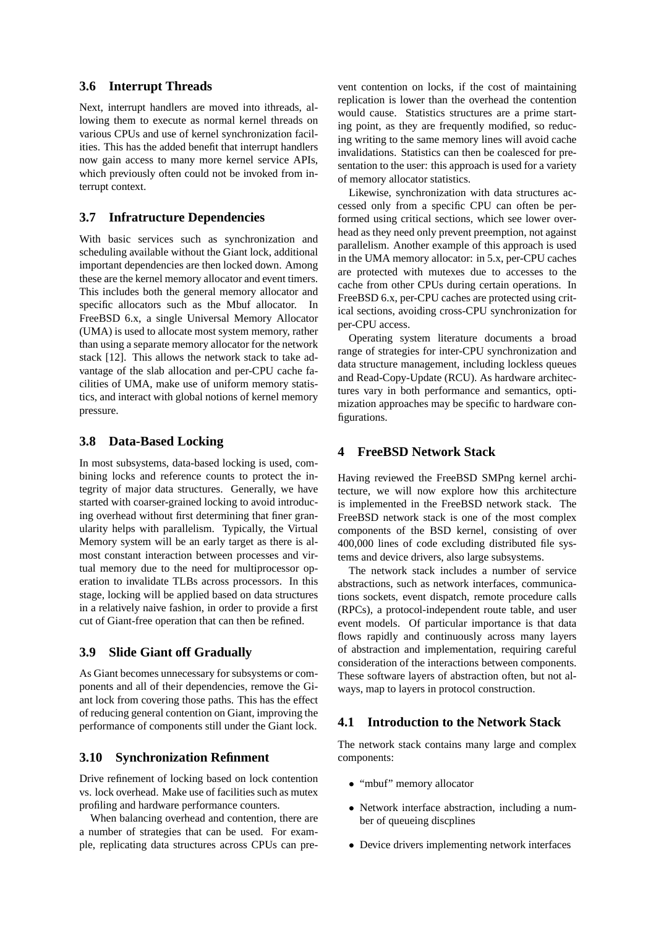#### **3.6 Interrupt Threads**

Next, interrupt handlers are moved into ithreads, allowing them to execute as normal kernel threads on various CPUs and use of kernel synchronization facilities. This has the added benefit that interrupt handlers now gain access to many more kernel service APIs, which previously often could not be invoked from interrupt context.

#### **3.7 Infratructure Dependencies**

With basic services such as synchronization and scheduling available without the Giant lock, additional important dependencies are then locked down. Among these are the kernel memory allocator and event timers. This includes both the general memory allocator and specific allocators such as the Mbuf allocator. In FreeBSD 6.x, a single Universal Memory Allocator (UMA) is used to allocate most system memory, rather than using a separate memory allocator for the network stack [12]. This allows the network stack to take advantage of the slab allocation and per-CPU cache facilities of UMA, make use of uniform memory statistics, and interact with global notions of kernel memory pressure.

#### **3.8 Data-Based Locking**

In most subsystems, data-based locking is used, combining locks and reference counts to protect the integrity of major data structures. Generally, we have started with coarser-grained locking to avoid introducing overhead without first determining that finer granularity helps with parallelism. Typically, the Virtual Memory system will be an early target as there is almost constant interaction between processes and virtual memory due to the need for multiprocessor operation to invalidate TLBs across processors. In this stage, locking will be applied based on data structures in a relatively naive fashion, in order to provide a first cut of Giant-free operation that can then be refined.

#### **3.9 Slide Giant off Gradually**

As Giant becomes unnecessary for subsystems or components and all of their dependencies, remove the Giant lock from covering those paths. This has the effect of reducing general contention on Giant, improving the performance of components still under the Giant lock.

#### **3.10 Synchronization Refinment**

Drive refinement of locking based on lock contention vs. lock overhead. Make use of facilities such as mutex profiling and hardware performance counters.

When balancing overhead and contention, there are a number of strategies that can be used. For example, replicating data structures across CPUs can pre-

vent contention on locks, if the cost of maintaining replication is lower than the overhead the contention would cause. Statistics structures are a prime starting point, as they are frequently modified, so reducing writing to the same memory lines will avoid cache invalidations. Statistics can then be coalesced for presentation to the user: this approach is used for a variety of memory allocator statistics.

Likewise, synchronization with data structures accessed only from a specific CPU can often be performed using critical sections, which see lower overhead as they need only prevent preemption, not against parallelism. Another example of this approach is used in the UMA memory allocator: in 5.x, per-CPU caches are protected with mutexes due to accesses to the cache from other CPUs during certain operations. In FreeBSD 6.x, per-CPU caches are protected using critical sections, avoiding cross-CPU synchronization for per-CPU access.

Operating system literature documents a broad range of strategies for inter-CPU synchronization and data structure management, including lockless queues and Read-Copy-Update (RCU). As hardware architectures vary in both performance and semantics, optimization approaches may be specific to hardware configurations.

#### **4 FreeBSD Network Stack**

Having reviewed the FreeBSD SMPng kernel architecture, we will now explore how this architecture is implemented in the FreeBSD network stack. The FreeBSD network stack is one of the most complex components of the BSD kernel, consisting of over 400,000 lines of code excluding distributed file systems and device drivers, also large subsystems.

The network stack includes a number of service abstractions, such as network interfaces, communications sockets, event dispatch, remote procedure calls (RPCs), a protocol-independent route table, and user event models. Of particular importance is that data flows rapidly and continuously across many layers of abstraction and implementation, requiring careful consideration of the interactions between components. These software layers of abstraction often, but not always, map to layers in protocol construction.

# **4.1 Introduction to the Network Stack**

The network stack contains many large and complex components:

- "mbuf" memory allocator
- Network interface abstraction, including a number of queueing discplines
- Device drivers implementing network interfaces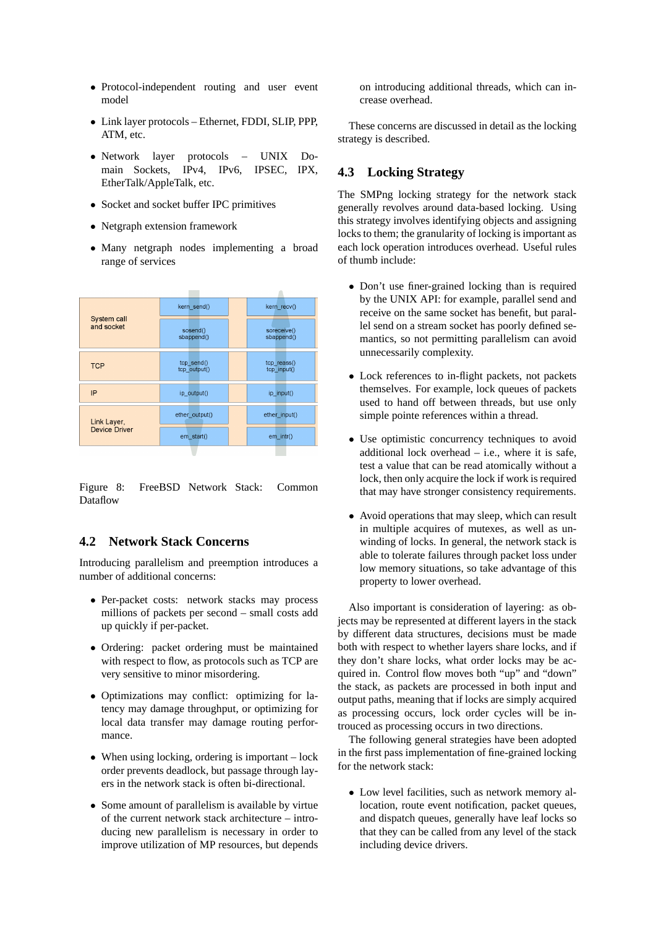- Protocol-independent routing and user event model
- Link layer protocols Ethernet, FDDI, SLIP, PPP, ATM, etc.
- Network layer protocols UNIX Domain Sockets, IPv4, IPv6, IPSEC, IPX, EtherTalk/AppleTalk, etc.
- Socket and socket buffer IPC primitives
- Netgraph extension framework
- Many netgraph nodes implementing a broad range of services



Figure 8: FreeBSD Network Stack: Common Dataflow

## **4.2 Network Stack Concerns**

Introducing parallelism and preemption introduces a number of additional concerns:

- Per-packet costs: network stacks may process millions of packets per second – small costs add up quickly if per-packet.
- Ordering: packet ordering must be maintained with respect to flow, as protocols such as TCP are very sensitive to minor misordering.
- Optimizations may conflict: optimizing for latency may damage throughput, or optimizing for local data transfer may damage routing performance.
- When using locking, ordering is important lock order prevents deadlock, but passage through layers in the network stack is often bi-directional.
- Some amount of parallelism is available by virtue of the current network stack architecture – introducing new parallelism is necessary in order to improve utilization of MP resources, but depends

on introducing additional threads, which can increase overhead.

These concerns are discussed in detail as the locking strategy is described.

#### **4.3 Locking Strategy**

The SMPng locking strategy for the network stack generally revolves around data-based locking. Using this strategy involves identifying objects and assigning locks to them; the granularity of locking is important as each lock operation introduces overhead. Useful rules of thumb include:

- Don't use finer-grained locking than is required by the UNIX API: for example, parallel send and receive on the same socket has benefit, but parallel send on a stream socket has poorly defined semantics, so not permitting parallelism can avoid unnecessarily complexity.
- Lock references to in-flight packets, not packets themselves. For example, lock queues of packets used to hand off between threads, but use only simple pointe references within a thread.
- Use optimistic concurrency techniques to avoid additional lock overhead  $-$  i.e., where it is safe, test a value that can be read atomically without a lock, then only acquire the lock if work is required that may have stronger consistency requirements.
- Avoid operations that may sleep, which can result in multiple acquires of mutexes, as well as unwinding of locks. In general, the network stack is able to tolerate failures through packet loss under low memory situations, so take advantage of this property to lower overhead.

Also important is consideration of layering: as objects may be represented at different layers in the stack by different data structures, decisions must be made both with respect to whether layers share locks, and if they don't share locks, what order locks may be acquired in. Control flow moves both "up" and "down" the stack, as packets are processed in both input and output paths, meaning that if locks are simply acquired as processing occurs, lock order cycles will be introuced as processing occurs in two directions.

The following general strategies have been adopted in the first pass implementation of fine-grained locking for the network stack:

• Low level facilities, such as network memory allocation, route event notification, packet queues, and dispatch queues, generally have leaf locks so that they can be called from any level of the stack including device drivers.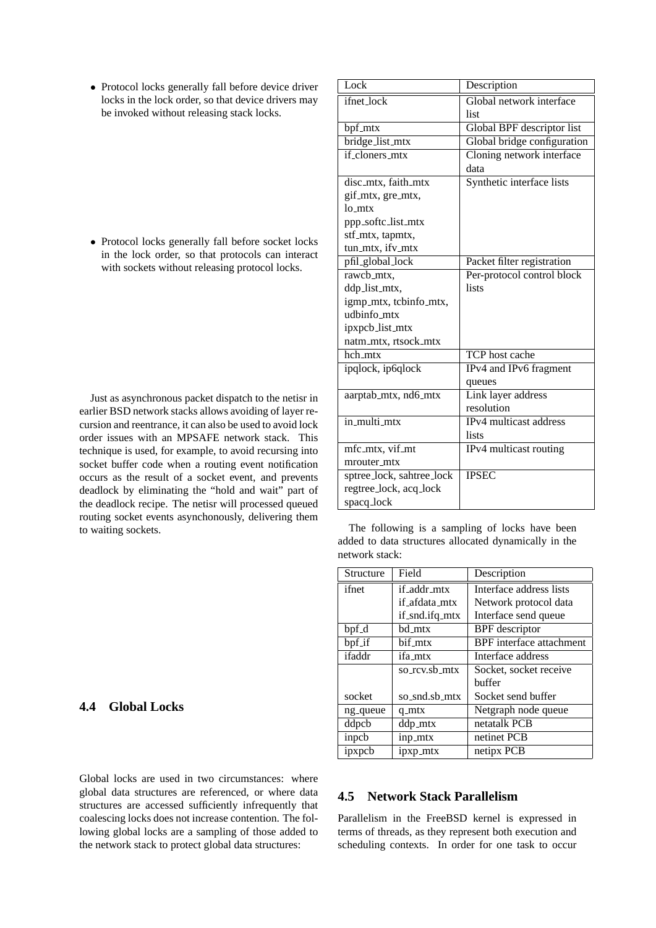• Protocol locks generally fall before device driver locks in the lock order, so that device drivers may be invoked without releasing stack locks.

• Protocol locks generally fall before socket locks in the lock order, so that protocols can interact with sockets without releasing protocol locks.

Just as asynchronous packet dispatch to the netisr in earlier BSD network stacks allows avoiding of layer recursion and reentrance, it can also be used to avoid lock order issues with an MPSAFE network stack. This technique is used, for example, to avoid recursing into socket buffer code when a routing event notification occurs as the result of a socket event, and prevents deadlock by eliminating the "hold and wait" part of the deadlock recipe. The netisr will processed queued routing socket events asynchonously, delivering them to waiting sockets.

# **4.4 Global Locks**

Global locks are used in two circumstances: where global data structures are referenced, or where data structures are accessed sufficiently infrequently that coalescing locks does not increase contention. The following global locks are a sampling of those added to the network stack to protect global data structures:

| Lock                      | Description                 |
|---------------------------|-----------------------------|
| ifnet_lock                | Global network interface    |
|                           | list                        |
| bpf_mtx                   | Global BPF descriptor list  |
| bridge_list_mtx           | Global bridge configuration |
| if_cloners_mtx            | Cloning network interface   |
|                           | data                        |
| disc_mtx, faith_mtx       | Synthetic interface lists   |
| gif_mtx, gre_mtx,         |                             |
| lo mtx                    |                             |
| ppp_softc_list_mtx        |                             |
| stf_mtx, tapmtx,          |                             |
| tun_mtx, ifv_mtx          |                             |
| pfil_global_lock          | Packet filter registration  |
| rawcb_mtx,                | Per-protocol control block  |
| ddp_list_mtx,             | lists                       |
| igmp_mtx, tcbinfo_mtx,    |                             |
| udbinfo_mtx               |                             |
| ipxpcb_list_mtx           |                             |
| natm_mtx, rtsock_mtx      |                             |
| hch mtx                   | TCP host cache              |
| ipqlock, ip6qlock         | IPv4 and IPv6 fragment      |
|                           | queues                      |
| aarptab_mtx, nd6_mtx      | Link layer address          |
|                           | resolution                  |
| in_multi_mtx              | IPv4 multicast address      |
|                           | lists                       |
| mfc_mtx, vif_mt           | IPv4 multicast routing      |
| mrouter_mtx               |                             |
| sptree_lock, sahtree_lock | <b>IPSEC</b>                |
| regtree_lock, acq_lock    |                             |
| spacq_lock                |                             |

The following is a sampling of locks have been added to data structures allocated dynamically in the network stack:

| Structure | Field          | Description                     |
|-----------|----------------|---------------------------------|
| ifnet     | if_addr_mtx    | Interface address lists         |
|           | if afdata_mtx  | Network protocol data           |
|           | if_snd.ifq_mtx | Interface send queue            |
| bpf_d     | bd_mtx         | <b>BPF</b> descriptor           |
| bpf_if    | bif mtx        | <b>BPF</b> interface attachment |
| ifaddr    | ifa mtx        | Interface address               |
|           | so_rcv.sb_mtx  | Socket, socket receive          |
|           |                | buffer                          |
| socket    | so_snd.sb_mtx  | Socket send buffer              |
| ng_queue  | $q_mtx$        | Netgraph node queue             |
| ddpcb     | ddp_mtx        | netatalk PCB                    |
| inpcb     | inp_mtx        | netinet PCB                     |
| ipxpcb    | ipxp_mtx       | netipx PCB                      |

## **4.5 Network Stack Parallelism**

Parallelism in the FreeBSD kernel is expressed in terms of threads, as they represent both execution and scheduling contexts. In order for one task to occur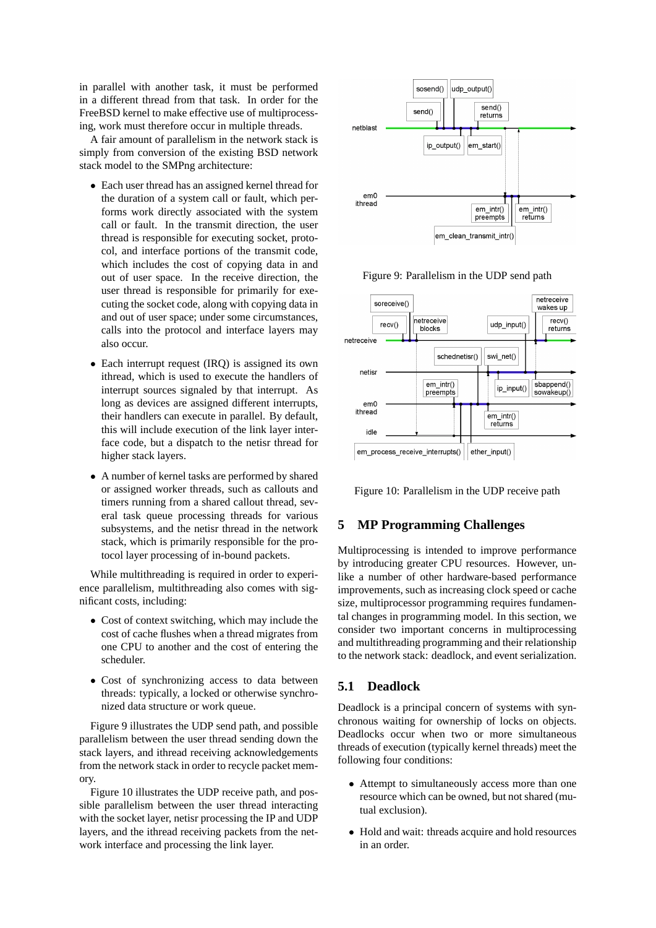in parallel with another task, it must be performed in a different thread from that task. In order for the FreeBSD kernel to make effective use of multiprocessing, work must therefore occur in multiple threads.

A fair amount of parallelism in the network stack is simply from conversion of the existing BSD network stack model to the SMPng architecture:

- Each user thread has an assigned kernel thread for the duration of a system call or fault, which performs work directly associated with the system call or fault. In the transmit direction, the user thread is responsible for executing socket, protocol, and interface portions of the transmit code, which includes the cost of copying data in and out of user space. In the receive direction, the user thread is responsible for primarily for executing the socket code, along with copying data in and out of user space; under some circumstances, calls into the protocol and interface layers may also occur.
- Each interrupt request (IRQ) is assigned its own ithread, which is used to execute the handlers of interrupt sources signaled by that interrupt. As long as devices are assigned different interrupts, their handlers can execute in parallel. By default, this will include execution of the link layer interface code, but a dispatch to the netisr thread for higher stack layers.
- A number of kernel tasks are performed by shared or assigned worker threads, such as callouts and timers running from a shared callout thread, several task queue processing threads for various subsystems, and the netisr thread in the network stack, which is primarily responsible for the protocol layer processing of in-bound packets.

While multithreading is required in order to experience parallelism, multithreading also comes with significant costs, including:

- Cost of context switching, which may include the cost of cache flushes when a thread migrates from one CPU to another and the cost of entering the scheduler.
- Cost of synchronizing access to data between threads: typically, a locked or otherwise synchronized data structure or work queue.

Figure 9 illustrates the UDP send path, and possible parallelism between the user thread sending down the stack layers, and ithread receiving acknowledgements from the network stack in order to recycle packet memory.

Figure 10 illustrates the UDP receive path, and possible parallelism between the user thread interacting with the socket layer, netisr processing the IP and UDP layers, and the ithread receiving packets from the network interface and processing the link layer.



Figure 9: Parallelism in the UDP send path



Figure 10: Parallelism in the UDP receive path

#### **5 MP Programming Challenges**

Multiprocessing is intended to improve performance by introducing greater CPU resources. However, unlike a number of other hardware-based performance improvements, such as increasing clock speed or cache size, multiprocessor programming requires fundamental changes in programming model. In this section, we consider two important concerns in multiprocessing and multithreading programming and their relationship to the network stack: deadlock, and event serialization.

#### **5.1 Deadlock**

Deadlock is a principal concern of systems with synchronous waiting for ownership of locks on objects. Deadlocks occur when two or more simultaneous threads of execution (typically kernel threads) meet the following four conditions:

- Attempt to simultaneously access more than one resource which can be owned, but not shared (mutual exclusion).
- Hold and wait: threads acquire and hold resources in an order.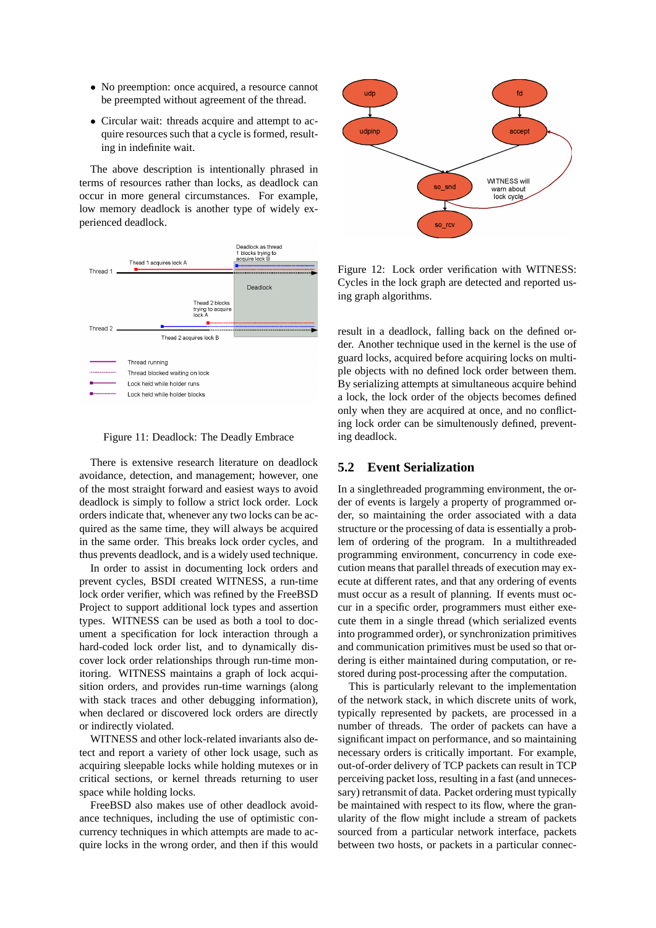- No preemption: once acquired, a resource cannot be preempted without agreement of the thread.
- Circular wait: threads acquire and attempt to acquire resources such that a cycle is formed, resulting in indefinite wait.

The above description is intentionally phrased in terms of resources rather than locks, as deadlock can occur in more general circumstances. For example, low memory deadlock is another type of widely experienced deadlock.



Figure 11: Deadlock: The Deadly Embrace

There is extensive research literature on deadlock avoidance, detection, and management; however, one of the most straight forward and easiest ways to avoid deadlock is simply to follow a strict lock order. Lock orders indicate that, whenever any two locks can be acquired as the same time, they will always be acquired in the same order. This breaks lock order cycles, and thus prevents deadlock, and is a widely used technique.

In order to assist in documenting lock orders and prevent cycles, BSDI created WITNESS, a run-time lock order verifier, which was refined by the FreeBSD Project to support additional lock types and assertion types. WITNESS can be used as both a tool to document a specification for lock interaction through a hard-coded lock order list, and to dynamically discover lock order relationships through run-time monitoring. WITNESS maintains a graph of lock acquisition orders, and provides run-time warnings (along with stack traces and other debugging information), when declared or discovered lock orders are directly or indirectly violated.

WITNESS and other lock-related invariants also detect and report a variety of other lock usage, such as acquiring sleepable locks while holding mutexes or in critical sections, or kernel threads returning to user space while holding locks.

FreeBSD also makes use of other deadlock avoidance techniques, including the use of optimistic concurrency techniques in which attempts are made to acquire locks in the wrong order, and then if this would



Figure 12: Lock order verification with WITNESS: Cycles in the lock graph are detected and reported using graph algorithms.

result in a deadlock, falling back on the defined order. Another technique used in the kernel is the use of guard locks, acquired before acquiring locks on multiple objects with no defined lock order between them. By serializing attempts at simultaneous acquire behind a lock, the lock order of the objects becomes defined only when they are acquired at once, and no conflicting lock order can be simultenously defined, preventing deadlock.

#### **5.2 Event Serialization**

In a singlethreaded programming environment, the order of events is largely a property of programmed order, so maintaining the order associated with a data structure or the processing of data is essentially a problem of ordering of the program. In a multithreaded programming environment, concurrency in code execution means that parallel threads of execution may execute at different rates, and that any ordering of events must occur as a result of planning. If events must occur in a specific order, programmers must either execute them in a single thread (which serialized events into programmed order), or synchronization primitives and communication primitives must be used so that ordering is either maintained during computation, or restored during post-processing after the computation.

This is particularly relevant to the implementation of the network stack, in which discrete units of work, typically represented by packets, are processed in a number of threads. The order of packets can have a significant impact on performance, and so maintaining necessary orders is critically important. For example, out-of-order delivery of TCP packets can result in TCP perceiving packet loss, resulting in a fast (and unnecessary) retransmit of data. Packet ordering must typically be maintained with respect to its flow, where the granularity of the flow might include a stream of packets sourced from a particular network interface, packets between two hosts, or packets in a particular connec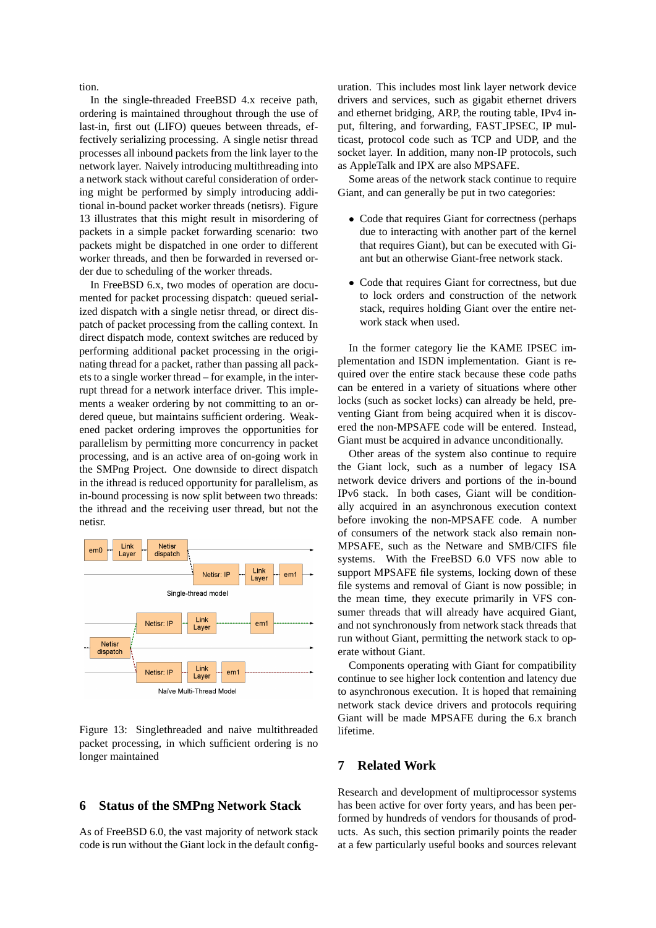tion.

In the single-threaded FreeBSD 4.x receive path, ordering is maintained throughout through the use of last-in, first out (LIFO) queues between threads, effectively serializing processing. A single netisr thread processes all inbound packets from the link layer to the network layer. Naively introducing multithreading into a network stack without careful consideration of ordering might be performed by simply introducing additional in-bound packet worker threads (netisrs). Figure 13 illustrates that this might result in misordering of packets in a simple packet forwarding scenario: two packets might be dispatched in one order to different worker threads, and then be forwarded in reversed order due to scheduling of the worker threads.

In FreeBSD 6.x, two modes of operation are documented for packet processing dispatch: queued serialized dispatch with a single netisr thread, or direct dispatch of packet processing from the calling context. In direct dispatch mode, context switches are reduced by performing additional packet processing in the originating thread for a packet, rather than passing all packets to a single worker thread – for example, in the interrupt thread for a network interface driver. This implements a weaker ordering by not committing to an ordered queue, but maintains sufficient ordering. Weakened packet ordering improves the opportunities for parallelism by permitting more concurrency in packet processing, and is an active area of on-going work in the SMPng Project. One downside to direct dispatch in the ithread is reduced opportunity for parallelism, as in-bound processing is now split between two threads: the ithread and the receiving user thread, but not the netisr.



Figure 13: Singlethreaded and naive multithreaded packet processing, in which sufficient ordering is no longer maintained

#### **6 Status of the SMPng Network Stack**

As of FreeBSD 6.0, the vast majority of network stack code is run without the Giant lock in the default configuration. This includes most link layer network device drivers and services, such as gigabit ethernet drivers and ethernet bridging, ARP, the routing table, IPv4 input, filtering, and forwarding, FAST IPSEC, IP multicast, protocol code such as TCP and UDP, and the socket layer. In addition, many non-IP protocols, such as AppleTalk and IPX are also MPSAFE.

Some areas of the network stack continue to require Giant, and can generally be put in two categories:

- Code that requires Giant for correctness (perhaps due to interacting with another part of the kernel that requires Giant), but can be executed with Giant but an otherwise Giant-free network stack.
- Code that requires Giant for correctness, but due to lock orders and construction of the network stack, requires holding Giant over the entire network stack when used.

In the former category lie the KAME IPSEC implementation and ISDN implementation. Giant is required over the entire stack because these code paths can be entered in a variety of situations where other locks (such as socket locks) can already be held, preventing Giant from being acquired when it is discovered the non-MPSAFE code will be entered. Instead, Giant must be acquired in advance unconditionally.

Other areas of the system also continue to require the Giant lock, such as a number of legacy ISA network device drivers and portions of the in-bound IPv6 stack. In both cases, Giant will be conditionally acquired in an asynchronous execution context before invoking the non-MPSAFE code. A number of consumers of the network stack also remain non-MPSAFE, such as the Netware and SMB/CIFS file systems. With the FreeBSD 6.0 VFS now able to support MPSAFE file systems, locking down of these file systems and removal of Giant is now possible; in the mean time, they execute primarily in VFS consumer threads that will already have acquired Giant, and not synchronously from network stack threads that run without Giant, permitting the network stack to operate without Giant.

Components operating with Giant for compatibility continue to see higher lock contention and latency due to asynchronous execution. It is hoped that remaining network stack device drivers and protocols requiring Giant will be made MPSAFE during the 6.x branch lifetime.

#### **7 Related Work**

Research and development of multiprocessor systems has been active for over forty years, and has been performed by hundreds of vendors for thousands of products. As such, this section primarily points the reader at a few particularly useful books and sources relevant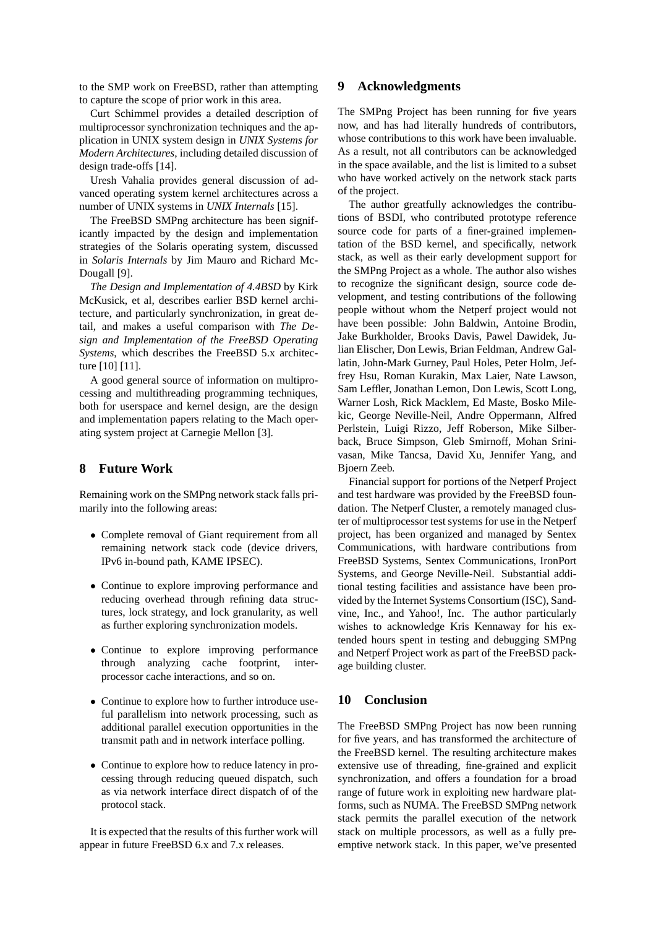to the SMP work on FreeBSD, rather than attempting to capture the scope of prior work in this area.

Curt Schimmel provides a detailed description of multiprocessor synchronization techniques and the application in UNIX system design in *UNIX Systems for Modern Architectures*, including detailed discussion of design trade-offs [14].

Uresh Vahalia provides general discussion of advanced operating system kernel architectures across a number of UNIX systems in *UNIX Internals* [15].

The FreeBSD SMPng architecture has been significantly impacted by the design and implementation strategies of the Solaris operating system, discussed in *Solaris Internals* by Jim Mauro and Richard Mc-Dougall [9].

*The Design and Implementation of 4.4BSD* by Kirk McKusick, et al, describes earlier BSD kernel architecture, and particularly synchronization, in great detail, and makes a useful comparison with *The Design and Implementation of the FreeBSD Operating Systems*, which describes the FreeBSD 5.x architecture [10] [11].

A good general source of information on multiprocessing and multithreading programming techniques, both for userspace and kernel design, are the design and implementation papers relating to the Mach operating system project at Carnegie Mellon [3].

#### **8 Future Work**

Remaining work on the SMPng network stack falls primarily into the following areas:

- Complete removal of Giant requirement from all remaining network stack code (device drivers, IPv6 in-bound path, KAME IPSEC).
- Continue to explore improving performance and reducing overhead through refining data structures, lock strategy, and lock granularity, as well as further exploring synchronization models.
- Continue to explore improving performance through analyzing cache footprint, interprocessor cache interactions, and so on.
- Continue to explore how to further introduce useful parallelism into network processing, such as additional parallel execution opportunities in the transmit path and in network interface polling.
- Continue to explore how to reduce latency in processing through reducing queued dispatch, such as via network interface direct dispatch of of the protocol stack.

It is expected that the results of this further work will appear in future FreeBSD 6.x and 7.x releases.

### **9 Acknowledgments**

The SMPng Project has been running for five years now, and has had literally hundreds of contributors, whose contributions to this work have been invaluable. As a result, not all contributors can be acknowledged in the space available, and the list is limited to a subset who have worked actively on the network stack parts of the project.

The author greatfully acknowledges the contributions of BSDI, who contributed prototype reference source code for parts of a finer-grained implementation of the BSD kernel, and specifically, network stack, as well as their early development support for the SMPng Project as a whole. The author also wishes to recognize the significant design, source code development, and testing contributions of the following people without whom the Netperf project would not have been possible: John Baldwin, Antoine Brodin, Jake Burkholder, Brooks Davis, Pawel Dawidek, Julian Elischer, Don Lewis, Brian Feldman, Andrew Gallatin, John-Mark Gurney, Paul Holes, Peter Holm, Jeffrey Hsu, Roman Kurakin, Max Laier, Nate Lawson, Sam Leffler, Jonathan Lemon, Don Lewis, Scott Long, Warner Losh, Rick Macklem, Ed Maste, Bosko Milekic, George Neville-Neil, Andre Oppermann, Alfred Perlstein, Luigi Rizzo, Jeff Roberson, Mike Silberback, Bruce Simpson, Gleb Smirnoff, Mohan Srinivasan, Mike Tancsa, David Xu, Jennifer Yang, and Bjoern Zeeb.

Financial support for portions of the Netperf Project and test hardware was provided by the FreeBSD foundation. The Netperf Cluster, a remotely managed cluster of multiprocessor test systems for use in the Netperf project, has been organized and managed by Sentex Communications, with hardware contributions from FreeBSD Systems, Sentex Communications, IronPort Systems, and George Neville-Neil. Substantial additional testing facilities and assistance have been provided by the Internet Systems Consortium (ISC), Sandvine, Inc., and Yahoo!, Inc. The author particularly wishes to acknowledge Kris Kennaway for his extended hours spent in testing and debugging SMPng and Netperf Project work as part of the FreeBSD package building cluster.

#### **10 Conclusion**

The FreeBSD SMPng Project has now been running for five years, and has transformed the architecture of the FreeBSD kernel. The resulting architecture makes extensive use of threading, fine-grained and explicit synchronization, and offers a foundation for a broad range of future work in exploiting new hardware platforms, such as NUMA. The FreeBSD SMPng network stack permits the parallel execution of the network stack on multiple processors, as well as a fully preemptive network stack. In this paper, we've presented